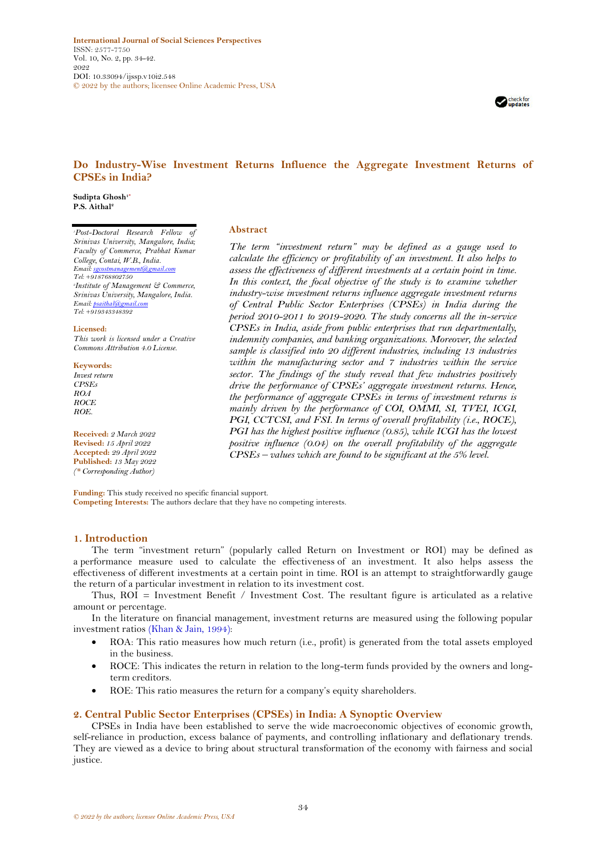**International Journal of Social Sciences Perspectives** ISSN: 2577-7750 Vol. 10, No. 2, pp. 34-42. 2022 DOI: 10.33094/ijssp.v10i2.548 © 2022 by the authors; licensee Online Academic Press, USA



# **Do Industry-Wise Investment Returns Influence the Aggregate Investment Returns of CPSEs in India?**

**Abstract**

**Sudipta Ghosh1\* P.S. Aithal<sup>2</sup>**

*<sup>1</sup>Post-Doctoral Research Fellow of Srinivas University, Mangalore, India; Faculty of Commerce, Prabhat Kumar College, Contai, W.B., India. Email[: sgcostmanagement@gmail.com](mailto:sgcostmanagement@gmail.com) Tel: +918768802750 2 Institute of Management & Commerce, Srinivas University, Mangalore, India. Email[: psaithal@gmail.com](mailto:psaithal@gmail.com) Tel: +919343348392*

**Licensed:**  *This work is licensed under a Creative Commons Attribution 4.0 License.* 

**Keywords:** *Invest return CPSEs ROA*

*ROCE*

*ROE.* **Received:** *2 March 2022* **Revised:** *15 April 2022* **Accepted:** *29 April 2022*

**Published:** *13 May 2022 (\* Corresponding Author)*

*assess the effectiveness of different investments at a certain point in time. In this context, the focal objective of the study is to examine whether industry-wise investment returns influence aggregate investment returns of Central Public Sector Enterprises (CPSEs) in India during the period 2010-2011 to 2019-2020. The study concerns all the in-service CPSEs in India, aside from public enterprises that run departmentally, indemnity companies, and banking organizations. Moreover, the selected sample is classified into 20 different industries, including 13 industries within the manufacturing sector and 7 industries within the service sector. The findings of the study reveal that few industries positively drive the performance of CPSEs' aggregate investment returns. Hence, the performance of aggregate CPSEs in terms of investment returns is mainly driven by the performance of COI, OMMI, SI, TVEI, ICGI, PGI, CCTCSI, and FSI. In terms of overall profitability (i.e., ROCE), PGI has the highest positive influence (0.85), while ICGI has the lowest positive influence (0.04) on the overall profitability of the aggregate CPSEs – values which are found to be significant at the 5% level.*

*The term "investment return" may be defined as a gauge used to calculate the efficiency or profitability of an investment. It also helps to* 

**Funding:** This study received no specific financial support. **Competing Interests:** The authors declare that they have no competing interests.

## **1. Introduction**

The term "investment return" (popularly called Return on Investment or ROI) may be defined as a performance measure used to calculate the effectiveness of an investment. It also helps assess the effectiveness of different investments at a certain point in time. ROI is an attempt to straightforwardly gauge the [return](https://www.investopedia.com/terms/r/return.asp) of a particular investment in relation to its investment cost.

Thus, ROI = Investment Benefit / Investment Cost. The resultant figure is articulated as a relative amount or percentage.

In the literature on financial management, investment returns are measured using the following popular investment ratios [\(Khan & Jain, 1994\)](#page-7-0):

- ROA: This ratio measures how much return (i.e., profit) is generated from the total assets employed in the business.
- ROCE: This indicates the return in relation to the long-term funds provided by the owners and longterm creditors.
- ROE: This ratio measures the return for a company's equity shareholders.

## **2. Central Public Sector Enterprises (CPSEs) in India: A Synoptic Overview**

CPSEs in India have been established to serve the wide macroeconomic objectives of economic growth, self-reliance in production, excess balance of payments, and controlling inflationary and deflationary trends. They are viewed as a device to bring about structural transformation of the economy with fairness and social justice.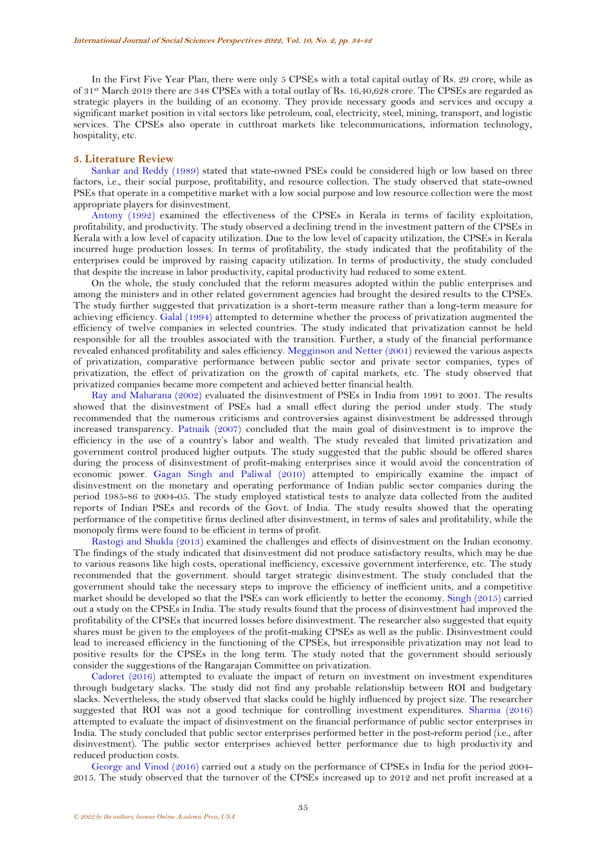In the First Five Year Plan, there were only 5 CPSEs with a total capital outlay of Rs. 29 crore, while as of 31st March 2019 there are 348 CPSEs with a total outlay of Rs. 16,40,628 crore. The CPSEs are regarded as strategic players in the building of an economy. They provide necessary goods and services and occupy a significant market position in vital sectors like petroleum, coal, electricity, steel, mining, transport, and logistic services. The CPSEs also operate in cutthroat markets like telecommunications, information technology, hospitality, etc.

#### **3. Literature Review**

[Sankar and Reddy \(1989\)](#page-8-0) stated that state-owned PSEs could be considered high or low based on three factors, i.e., their social purpose, profitability, and resource collection. The study observed that state-owned PSEs that operate in a competitive market with a low social purpose and low resource collection were the most appropriate players for disinvestment.

[Antony \(1992\)](#page-7-1) examined the effectiveness of the CPSEs in Kerala in terms of facility exploitation, profitability, and productivity. The study observed a declining trend in the investment pattern of the CPSEs in Kerala with a low level of capacity utilization. Due to the low level of capacity utilization, the CPSEs in Kerala incurred huge production losses. In terms of profitability, the study indicated that the profitability of the enterprises could be improved by raising capacity utilization. In terms of productivity, the study concluded that despite the increase in labor productivity, capital productivity had reduced to some extent.

On the whole, the study concluded that the reform measures adopted within the public enterprises and among the ministers and in other related government agencies had brought the desired results to the CPSEs. The study further suggested that privatization is a short-term measure rather than a long-term measure for achieving efficiency. [Galal \(1994\)](#page-7-2) attempted to determine whether the process of privatization augmented the efficiency of twelve companies in selected countries. The study indicated that privatization cannot be held responsible for all the troubles associated with the transition. Further, a study of the financial performance revealed enhanced profitability and sales efficiency. [Megginson and Netter \(2001\)](#page-7-3) reviewed the various aspects of privatization, comparative performance between public sector and private sector companies, types of privatization, the effect of privatization on the growth of capital markets, etc. The study observed that privatized companies became more competent and achieved better financial health.

[Ray and Maharana \(2002\)](#page-8-1) evaluated the disinvestment of PSEs in India from 1991 to 2001. The results showed that the disinvestment of PSEs had a small effect during the period under study. The study recommended that the numerous criticisms and controversies against disinvestment be addressed through increased transparency. [Patnaik \(2007\)](#page-8-2) concluded that the main goal of disinvestment is to improve the efficiency in the use of a country's labor and wealth. The study revealed that limited privatization and government control produced higher outputs. The study suggested that the public should be offered shares during the process of disinvestment of profit-making enterprises since it would avoid the concentration of economic power. [Gagan Singh and Paliwal \(2010\)](#page-8-3) attempted to empirically examine the impact of disinvestment on the monetary and operating performance of Indian public sector companies during the period 1985-86 to 2004-05. The study employed statistical tests to analyze data collected from the audited reports of Indian PSEs and records of the Govt. of India. The study results showed that the operating performance of the competitive firms declined after disinvestment, in terms of sales and profitability, while the monopoly firms were found to be efficient in terms of profit.

[Rastogi and Shukla \(2013\)](#page-8-4) examined the challenges and effects of disinvestment on the Indian economy. The findings of the study indicated that disinvestment did not produce satisfactory results, which may be due to various reasons like high costs, operational inefficiency, excessive government interference, etc. The study recommended that the government. should target strategic disinvestment. The study concluded that the government should take the necessary steps to improve the efficiency of inefficient units, and a competitive market should be developed so that the PSEs can work efficiently to better the economy. [Singh \(2015\)](#page-8-5) carried out a study on the CPSEs in India. The study results found that the process of disinvestment had improved the profitability of the CPSEs that incurred losses before disinvestment. The researcher also suggested that equity shares must be given to the employees of the profit-making CPSEs as well as the public. Disinvestment could lead to increased efficiency in the functioning of the CPSEs, but irresponsible privatization may not lead to positive results for the CPSEs in the long term. The study noted that the government should seriously consider the suggestions of the Rangarajan Committee on privatization.

[Cadoret \(2016\)](#page-7-4) attempted to evaluate the impact of return on investment on investment expenditures through budgetary slacks. The study did not find any probable relationship between ROI and budgetary slacks. Nevertheless, the study observed that slacks could be highly influenced by project size. The researcher suggested that ROI was not a good technique for controlling investment expenditures. [Sharma \(2016\)](#page-8-6) attempted to evaluate the impact of disinvestment on the financial performance of public sector enterprises in India. The study concluded that public sector enterprises performed better in the post-reform period (i.e., after disinvestment). The public sector enterprises achieved better performance due to high productivity and reduced production costs.

[George and Vinod \(2016\)](#page-7-5) carried out a study on the performance of CPSEs in India for the period 2004- 2015. The study observed that the turnover of the CPSEs increased up to 2012 and net profit increased at a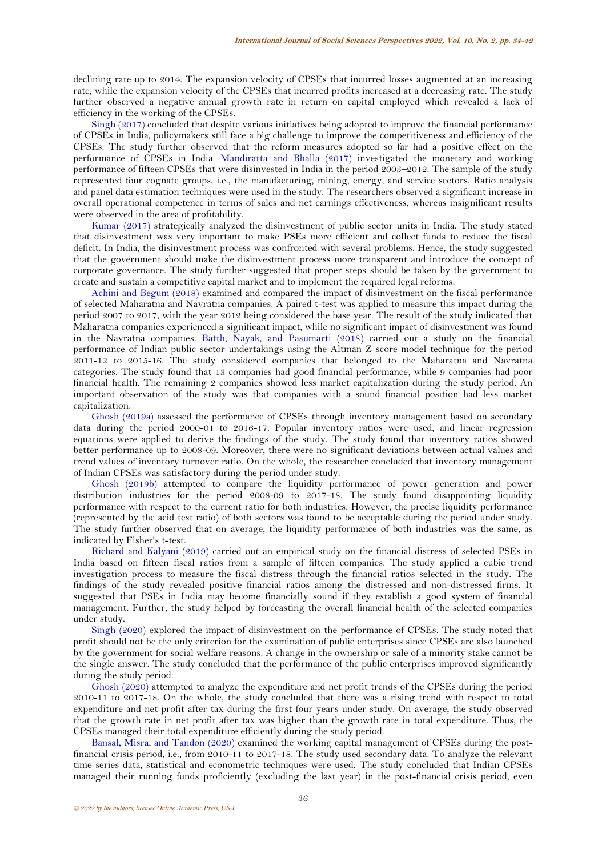declining rate up to 2014. The expansion velocity of CPSEs that incurred losses augmented at an increasing rate, while the expansion velocity of the CPSEs that incurred profits increased at a decreasing rate. The study further observed a negative annual growth rate in return on capital employed which revealed a lack of efficiency in the working of the CPSEs.

[Singh \(2017\)](#page-8-7) concluded that despite various initiatives being adopted to improve the financial performance of CPSEs in India, policymakers still face a big challenge to improve the competitiveness and efficiency of the CPSEs. The study further observed that the reform measures adopted so far had a positive effect on the performance of CPSEs in India. [Mandiratta and Bhalla \(2017\)](#page-7-6) investigated the monetary and working performance of fifteen CPSEs that were disinvested in India in the period 2003–2012. The sample of the study represented four cognate groups, i.e., the manufacturing, mining, energy, and service sectors. Ratio analysis and panel data estimation techniques were used in the study. The researchers observed a significant increase in overall operational competence in terms of sales and net earnings effectiveness, whereas insignificant results were observed in the area of profitability.

[Kumar \(2017\)](#page-7-7) strategically analyzed the disinvestment of public sector units in India. The study stated that disinvestment was very important to make PSEs more efficient and collect funds to reduce the fiscal deficit. In India, the disinvestment process was confronted with several problems. Hence, the study suggested that the government should make the disinvestment process more transparent and introduce the concept of corporate governance. The study further suggested that proper steps should be taken by the government to create and sustain a competitive capital market and to implement the required legal reforms.

[Achini and Begum \(2018\)](#page-7-8) examined and compared the impact of disinvestment on the fiscal performance of selected Maharatna and Navratna companies. A paired t-test was applied to measure this impact during the period 2007 to 2017, with the year 2012 being considered the base year. The result of the study indicated that Maharatna companies experienced a significant impact, while no significant impact of disinvestment was found in the Navratna companies. [Batth, Nayak, and Pasumarti \(2018\)](#page-7-9) carried out a study on the financial performance of Indian public sector undertakings using the Altman Z score model technique for the period 2011-12 to 2015-16. The study considered companies that belonged to the Maharatna and Navratna categories. The study found that 13 companies had good financial performance, while 9 companies had poor financial health. The remaining 2 companies showed less market capitalization during the study period. An important observation of the study was that companies with a sound financial position had less market capitalization.

[Ghosh \(2019a\)](#page-7-10) assessed the performance of CPSEs through inventory management based on secondary data during the period 2000-01 to 2016-17. Popular inventory ratios were used, and linear regression equations were applied to derive the findings of the study. The study found that inventory ratios showed better performance up to 2008-09. Moreover, there were no significant deviations between actual values and trend values of inventory turnover ratio. On the whole, the researcher concluded that inventory management of Indian CPSEs was satisfactory during the period under study.

[Ghosh \(2019b\)](#page-7-11) attempted to compare the liquidity performance of power generation and power distribution industries for the period 2008-09 to 2017-18. The study found disappointing liquidity performance with respect to the current ratio for both industries. However, the precise liquidity performance (represented by the acid test ratio) of both sectors was found to be acceptable during the period under study. The study further observed that on average, the liquidity performance of both industries was the same, as indicated by Fisher's t-test.

[Richard and Kalyani \(2019\)](#page-8-8) carried out an empirical study on the financial distress of selected PSEs in India based on fifteen fiscal ratios from a sample of fifteen companies. The study applied a cubic trend investigation process to measure the fiscal distress through the financial ratios selected in the study. The findings of the study revealed positive financial ratios among the distressed and non-distressed firms. It suggested that PSEs in India may become financially sound if they establish a good system of financial management. Further, the study helped by forecasting the overall financial health of the selected companies under study.

[Singh \(2020\)](#page-8-9) explored the impact of disinvestment on the performance of CPSEs. The study noted that profit should not be the only criterion for the examination of public enterprises since CPSEs are also launched by the government for social welfare reasons. A change in the ownership or sale of a minority stake cannot be the single answer. The study concluded that the performance of the public enterprises improved significantly during the study period.

[Ghosh \(2020\)](#page-7-12) attempted to analyze the expenditure and net profit trends of the CPSEs during the period 2010-11 to 2017-18. On the whole, the study concluded that there was a rising trend with respect to total expenditure and net profit after tax during the first four years under study. On average, the study observed that the growth rate in net profit after tax was higher than the growth rate in total expenditure. Thus, the CPSEs managed their total expenditure efficiently during the study period.

[Bansal, Misra, and Tandon \(2020\)](#page-7-13) examined the working capital management of CPSEs during the postfinancial crisis period, i.e., from 2010-11 to 2017-18. The study used secondary data. To analyze the relevant time series data, statistical and econometric techniques were used. The study concluded that Indian CPSEs managed their running funds proficiently (excluding the last year) in the post-financial crisis period, even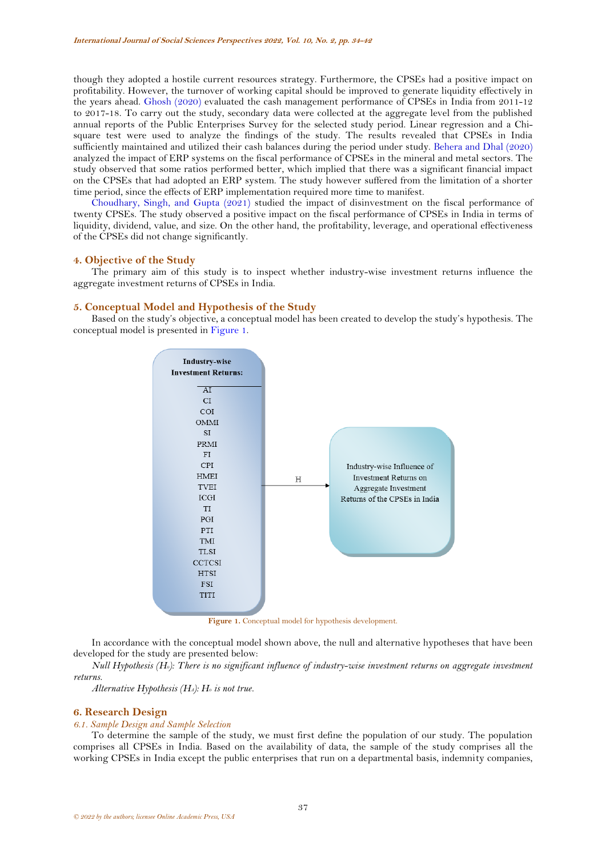though they adopted a hostile current resources strategy. Furthermore, the CPSEs had a positive impact on profitability. However, the turnover of working capital should be improved to generate liquidity effectively in the years ahead. [Ghosh \(2020\)](#page-7-14) evaluated the cash management performance of CPSEs in India from 2011-12 to 2017-18. To carry out the study, secondary data were collected at the aggregate level from the published annual reports of the Public Enterprises Survey for the selected study period. Linear regression and a Chisquare test were used to analyze the findings of the study. The results revealed that CPSEs in India sufficiently maintained and utilized their cash balances during the period under study. [Behera and Dhal \(2020\)](#page-7-15) analyzed the impact of ERP systems on the fiscal performance of CPSEs in the mineral and metal sectors. The study observed that some ratios performed better, which implied that there was a significant financial impact on the CPSEs that had adopted an ERP system. The study however suffered from the limitation of a shorter time period, since the effects of ERP implementation required more time to manifest.

[Choudhary, Singh, and Gupta \(2021\)](#page-7-16) studied the impact of disinvestment on the fiscal performance of twenty CPSEs. The study observed a positive impact on the fiscal performance of CPSEs in India in terms of liquidity, dividend, value, and size. On the other hand, the profitability, leverage, and operational effectiveness of the CPSEs did not change significantly.

## **4. Objective of the Study**

The primary aim of this study is to inspect whether industry-wise investment returns influence the aggregate investment returns of CPSEs in India.

## **5. Conceptual Model and Hypothesis of the Study**

Based on the study's objective, a conceptual model has been created to develop the study's hypothesis. The conceptual model is presented in [Figure 1.](#page-3-0)



Figure 1. Conceptual model for hypothesis development.

<span id="page-3-0"></span>In accordance with the conceptual model shown above, the null and alternative hypotheses that have been developed for the study are presented below:

*Null Hypothesis (H0): There is no significant influence of industry-wise investment returns on aggregate investment returns.*

*Alternative Hypothesis (HA): H<sup>0</sup> is not true.* 

#### **6. Research Design**

#### *6.1. Sample Design and Sample Selection*

To determine the sample of the study, we must first define the population of our study. The population comprises all CPSEs in India. Based on the availability of data, the sample of the study comprises all the working CPSEs in India except the public enterprises that run on a departmental basis, indemnity companies,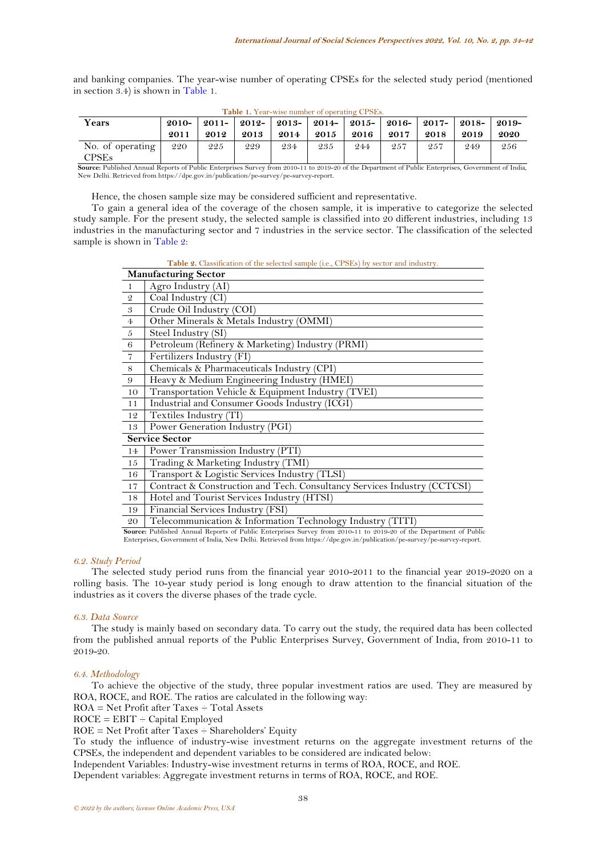and banking companies. The year-wise number of operating CPSEs for the selected study period (mentioned in section 3.4) is shown in [Table 1](#page-4-0).

<span id="page-4-0"></span>

| A MARANT AT A UNA THAUN ISNAILDING OF MENGENHALL NEATHERT |         |      |      |                                                                       |      |      |      |      |      |      |
|-----------------------------------------------------------|---------|------|------|-----------------------------------------------------------------------|------|------|------|------|------|------|
| Years                                                     | $2010-$ |      |      | 2011-   2012-   2013-   2014-   2015-   2016-   2017-   2018-   2019- |      |      |      |      |      |      |
|                                                           | 2011    | 2012 | 2013 | 2014                                                                  | 2015 | 2016 | 2017 | 2018 | 2019 | 2020 |
| No. of operating<br>$\mathrm{CPSEs}$                      | 220     | 225  | 229  | 234                                                                   | 235  | 244  | 257  | 257  | 249  | 256  |

**Table 1.** Year-wise number of operating CPSEs.

**Source:** Published Annual Reports of Public Enterprises Survey from 2010-11 to 2019-20 of the Department of Public Enterprises, Government of India,<br>New Delhi. Retrieved from https://dpe.gov.in/publication/pe-survey/pe-su

Hence, the chosen sample size may be considered sufficient and representative.

To gain a general idea of the coverage of the chosen sample, it is imperative to categorize the selected study sample. For the present study, the selected sample is classified into 20 different industries, including 13 industries in the manufacturing sector and 7 industries in the service sector. The classification of the selected sample is shown in [Table 2](#page-4-1):

Table 2. Classification of the selected sample (i.e., CPSEs) by sector and industry.

<span id="page-4-1"></span>

|                            | <b>Manufacturing Sector</b>                                                                                       |
|----------------------------|-------------------------------------------------------------------------------------------------------------------|
| $\mathbf{1}$               | Agro Industry (AI)                                                                                                |
| $\mathcal Q$               | Coal Industry (CI)                                                                                                |
| $\boldsymbol{\mathcal{S}}$ | Crude Oil Industry (COI)                                                                                          |
| $\overline{4}$             | Other Minerals & Metals Industry (OMMI)                                                                           |
| $\sqrt{5}$                 | Steel Industry (SI)                                                                                               |
| 6                          | Petroleum (Refinery & Marketing) Industry (PRMI)                                                                  |
| $\overline{7}$             | Fertilizers Industry (FI)                                                                                         |
| 8                          | Chemicals & Pharmaceuticals Industry (CPI)                                                                        |
| 9                          | Heavy & Medium Engineering Industry (HMEI)                                                                        |
| 10                         | Transportation Vehicle & Equipment Industry (TVEI)                                                                |
| 11                         | Industrial and Consumer Goods Industry (ICGI)                                                                     |
| 12                         | Textiles Industry (TI)                                                                                            |
| 13                         | Power Generation Industry (PGI)                                                                                   |
|                            | <b>Service Sector</b>                                                                                             |
| 14                         | Power Transmission Industry (PTI)                                                                                 |
| 15                         | Trading & Marketing Industry (TMI)                                                                                |
| 16                         | Transport & Logistic Services Industry (TLSI)                                                                     |
| 17                         | Contract & Construction and Tech. Consultancy Services Industry (CCTCSI)                                          |
| 18                         | Hotel and Tourist Services Industry (HTSI)                                                                        |
| 19                         | Financial Services Industry (FSI)                                                                                 |
| 20                         | Telecommunication & Information Technology Industry (TITI)                                                        |
|                            | Course Bublished Annual Benewto of Bublis Enterprises Current from 0010 11 to 0010 00 of the Department of Bublis |

Source: Published Annual Reports of Public Enterprises Survey from 2010-11 to 2019-20 of the Department of Public<br>Enterprises, Government of India, New Delhi. Retrieved from https://dpe.gov.in/publication/pe-survey/pe-surv

## *6.2. Study Period*

The selected study period runs from the financial year 2010-2011 to the financial year 2019-2020 on a rolling basis. The 10-year study period is long enough to draw attention to the financial situation of the industries as it covers the diverse phases of the trade cycle.

## *6.3. Data Source*

The study is mainly based on secondary data. To carry out the study, the required data has been collected from the published annual reports of the Public Enterprises Survey, Government of India, from 2010-11 to 2019-20.

#### *6.4. Methodology*

To achieve the objective of the study, three popular investment ratios are used. They are measured by ROA, ROCE, and ROE. The ratios are calculated in the following way:

ROA = Net Profit after Taxes ÷ Total Assets

 $ROCE = EBIT - Capital Employee$ 

 $ROE = Net Profit after Taxes - Shared$ 

To study the influence of industry-wise investment returns on the aggregate investment returns of the CPSEs, the independent and dependent variables to be considered are indicated below:

Independent Variables: Industry-wise investment returns in terms of ROA, ROCE, and ROE.

Dependent variables: Aggregate investment returns in terms of ROA, ROCE, and ROE.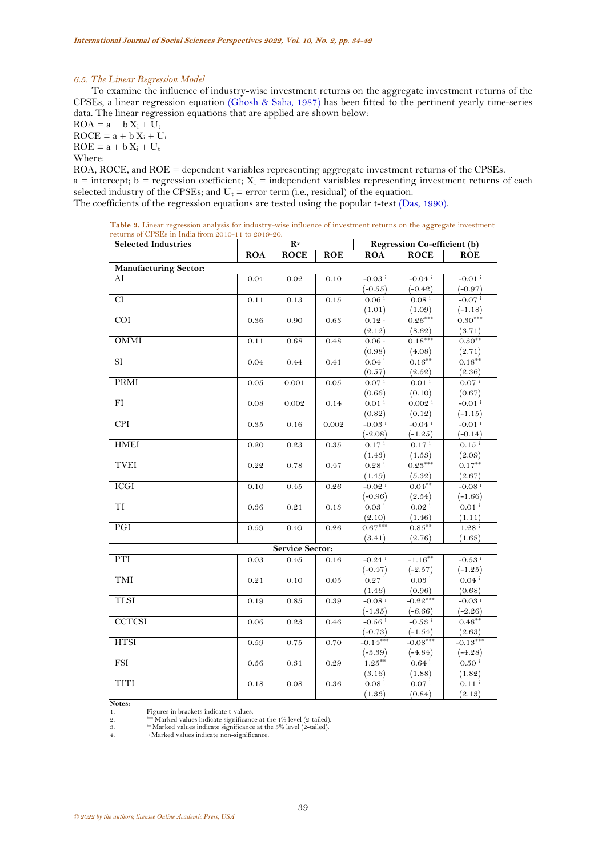#### *6.5. The Linear Regression Model*

To examine the influence of industry-wise investment returns on the aggregate investment returns of the CPSEs, a linear regression equation [\(Ghosh & Saha, 1987\)](#page-7-17) has been fitted to the pertinent yearly time-series data. The linear regression equations that are applied are shown below:

 $ROA = a + b X_i + U_t$  $ROCE = a + b X_i + U_t$  $ROE = a + b X_i + U_t$ Where:

ROA, ROCE, and ROE = dependent variables representing aggregate investment returns of the CPSEs.  $a =$  intercept;  $b =$  regression coefficient;  $X_i =$  independent variables representing investment returns of each selected industry of the CPSEs; and  $U_t =$  error term (i.e., residual) of the equation. The coefficients of the regression equations are tested using the popular t-test [\(Das, 1990\)](#page-7-18).

<span id="page-5-0"></span>

| Table 3. Linear regression analysis for industry-wise influence of investment returns on the aggregate investment |  |  |
|-------------------------------------------------------------------------------------------------------------------|--|--|
| returns of CPSEs in India from 2010-11 to 2019-20.                                                                |  |  |

| <b>Selected Industries</b>   | $\overline{\mathbf{R}^2}$ |                 |            | Regression Co-efficient (b)      |                            |                                  |  |  |
|------------------------------|---------------------------|-----------------|------------|----------------------------------|----------------------------|----------------------------------|--|--|
|                              | <b>ROA</b>                | <b>ROCE</b>     | <b>ROE</b> | ROA                              | <b>ROCE</b>                | <b>ROE</b>                       |  |  |
| <b>Manufacturing Sector:</b> |                           |                 |            |                                  |                            |                                  |  |  |
| AI                           | 0.04                      | 0.02            | 0.10       | $-0.03$ <sup>i</sup>             | $-0.04$ <sup>i</sup>       | $-0.01$ <sup>i</sup>             |  |  |
|                              |                           |                 |            | $(-0.55)$                        | $(-0.42)$                  | $(-0.97)$                        |  |  |
| CI                           | 0.11                      | 0.13            | 0.15       | 0.06 i                           | 0.08 i                     | $-0.07$ <sup>i</sup>             |  |  |
|                              |                           |                 |            | (1.01)                           | (1.09)                     | $(-1.18)$                        |  |  |
| $\overline{COI}$             | 0.36                      | 0.90            | 0.63       | 0.12 i                           | $0.26***$                  | $0.30***$                        |  |  |
|                              |                           |                 |            | (2.12)                           | $\frac{(8.62)}{0.18***}$   | $\frac{(3.71)}{0.30**}$          |  |  |
| <b>OMMI</b>                  | 0.11                      | 0.68            | 0.48       | $0.06$ <sup>i</sup>              |                            |                                  |  |  |
|                              |                           |                 |            | (0.98)                           | $\frac{(4.08)}{0.16}$      | (2.71)                           |  |  |
| $\overline{\rm SI}$          | 0.04                      | 0.44            | 0.41       | $0.04$ <sup>i</sup>              |                            | $0.18***$                        |  |  |
|                              |                           |                 |            | (0.57)                           | (2.52)                     | (2.36)                           |  |  |
| PRMI                         | 0.05                      | 0.001           | 0.05       | $0.07$ <sup>i</sup>              | $0.01$ <sup>i</sup>        | $0.07$ <sup>i</sup>              |  |  |
|                              |                           |                 |            | (0.66)                           | (0.10)                     | (0.67)                           |  |  |
| $\overline{FI}$              | 0.08                      | 0.002           | 0.14       | $0.01$ <sup>i</sup>              | $0.002$ <sup>i</sup>       | $-0.01$ <sup>i</sup>             |  |  |
|                              |                           |                 |            | (0.82)                           | (0.12)                     | $(-1.15)$                        |  |  |
| <b>CPI</b>                   | $0.35\,$                  | 0.16            | 0.002      | $-0.03$ <sup>i</sup>             | $-0.04$ <sup>i</sup>       | $-0.01$ <sup>i</sup>             |  |  |
|                              |                           |                 |            | $(-2.08)$                        | $(-1.25)$                  | $(-0.14)$                        |  |  |
| <b>HMEI</b>                  | 0.20                      | 0.23            | 0.35       | 0.17 i                           | 0.17 i                     | $0.15$ $^{\rm i}$                |  |  |
|                              |                           |                 |            | (1.43)                           | (1.53)                     | (2.09)                           |  |  |
| <b>TVEI</b>                  | 0.22                      | 0.78            | 0.47       | $0.28$ <sup>i</sup>              | $0.23***$                  | $0.17***$                        |  |  |
|                              |                           |                 |            | (1.49)                           | (5.32)                     | (2.67)                           |  |  |
| <b>ICGI</b>                  | 0.10                      | 0.45            | 0.26       | $-0.02$ <sup>i</sup>             | $0.04***$                  | $-0.08$ <sup>i</sup>             |  |  |
|                              |                           |                 |            | $(-0.96)$                        | (2.54)                     | $(-1.66)$                        |  |  |
| TI                           | 0.36                      | 0.21            | 0.13       | $0.03$ i                         | 0.02 i                     | $0.01$ $^{\rm i}$                |  |  |
|                              |                           |                 |            | (2.10)                           | (1.46)                     | (1.11)                           |  |  |
| PGI                          | 0.59                      | 0.49            | 0.26       | $0.67***$                        | $0.85***$                  | 1.28 i                           |  |  |
|                              |                           |                 |            | (3.41)                           | (2.76)                     | (1.68)                           |  |  |
| PTI                          |                           | Service Sector: |            |                                  |                            |                                  |  |  |
|                              | 0.03                      | 0.45            | 0.16       | $-0.24$ <sup>i</sup>             | $-1.16***$                 | $-0.53$ <sup>i</sup>             |  |  |
| TMI                          |                           |                 |            | $(-0.47)$<br>$0.27$ <sup>i</sup> | $(-2.57)$<br>0.03 i        | $(-1.25)$<br>$0.04$ <sup>i</sup> |  |  |
|                              | 0.21                      | 0.10            | 0.05       |                                  |                            |                                  |  |  |
| <b>TLSI</b>                  | 0.19                      | 0.85            | 0.39       | (1.46)<br>$-0.08$ <sup>i</sup>   | (0.96)<br>$-0.22***$       | (0.68)<br>$-0.03$ <sup>i</sup>   |  |  |
|                              |                           |                 |            | $(-1.35)$                        | $(-6.66)$                  |                                  |  |  |
| <b>CCTCSI</b>                | 0.06                      | 0.23            | 0.46       | $-0.56$ <sup>i</sup>             | $-0.53$ <sup>i</sup>       | $(-2.26)$<br>$0.48***$           |  |  |
|                              |                           |                 |            | $(-0.73)$                        |                            | (2.63)                           |  |  |
| <b>HTSI</b>                  | 0.59                      | 0.75            | 0.70       | $-0.14***$                       | $\frac{(-1.54)}{-0.08***}$ | $-0.13***$                       |  |  |
|                              |                           |                 |            | $(-3.39)$                        | $(-4.84)$                  | $(-4.28)$                        |  |  |
| <b>FSI</b>                   | $0.56\,$                  | 0.31            | 0.29       | $1.25***$                        | 0.64 i                     | $0.50$ <sup>i</sup>              |  |  |
|                              |                           |                 |            | (3.16)                           | (1.88)                     | (1.82)                           |  |  |
| <b>TITI</b>                  | 0.18                      | 0.08            | 0.36       | $0.08$ <sup>i</sup>              | $0.07^{1}$                 | $0.11$ <sup>i</sup>              |  |  |
|                              |                           |                 |            | (1.33)                           | (0.84)                     | (2.13)                           |  |  |

**Notes:**<br>1.

1. Figures in brackets indicate t-values.<br>2. **\*\*\*** Marked values indicate significance

2. \*\*\* Marked values indicate significance at the 1% level (2-tailed).<br>  $3.$  \*\* Marked values indicate significance at the 5% level (2-tailed).

3.  $**$  Marked values indicate significance at the 5% level (2-tailed).<br>4. iMarked values indicate non-significance.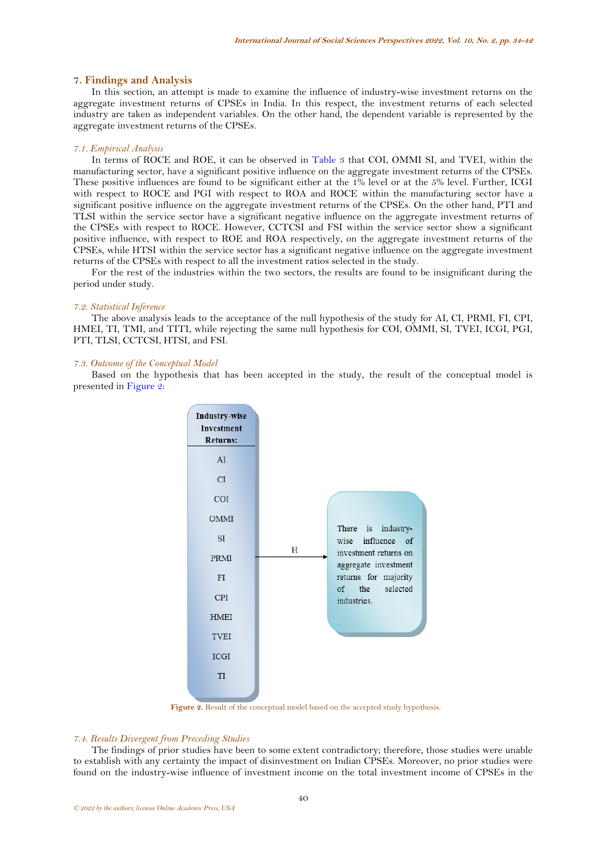### **7. Findings and Analysis**

In this section, an attempt is made to examine the influence of industry-wise investment returns on the aggregate investment returns of CPSEs in India. In this respect, the investment returns of each selected industry are taken as independent variables. On the other hand, the dependent variable is represented by the aggregate investment returns of the CPSEs.

### *7.1. Empirical Analysis*

In terms of ROCE and ROE, it can be observed in [Table 3](#page-5-0) that COI, OMMI SI, and TVEI, within the manufacturing sector, have a significant positive influence on the aggregate investment returns of the CPSEs. These positive influences are found to be significant either at the 1% level or at the 5% level. Further, ICGI with respect to ROCE and PGI with respect to ROA and ROCE within the manufacturing sector have a significant positive influence on the aggregate investment returns of the CPSEs. On the other hand, PTI and TLSI within the service sector have a significant negative influence on the aggregate investment returns of the CPSEs with respect to ROCE. However, CCTCSI and FSI within the service sector show a significant positive influence, with respect to ROE and ROA respectively, on the aggregate investment returns of the CPSEs, while HTSI within the service sector has a significant negative influence on the aggregate investment returns of the CPSEs with respect to all the investment ratios selected in the study.

For the rest of the industries within the two sectors, the results are found to be insignificant during the period under study.

#### *7.2. Statistical Inference*

The above analysis leads to the acceptance of the null hypothesis of the study for AI, CI, PRMI, FI, CPI, HMEI, TI, TMI, and TITI, while rejecting the same null hypothesis for COI, OMMI, SI, TVEI, ICGI, PGI, PTI, TLSI, CCTCSI, HTSI, and FSI.

## *7.3. Outcome of the Conceptual Model*

Based on the hypothesis that has been accepted in the study, the result of the conceptual model is presented i[n Figure 2:](#page-6-0) 



Figure 2. Result of the conceptual model based on the accepted study hypothesis.

## <span id="page-6-0"></span>*7.4. Results Divergent from Preceding Studies*

The findings of prior studies have been to some extent contradictory; therefore, those studies were unable to establish with any certainty the impact of disinvestment on Indian CPSEs. Moreover, no prior studies were found on the industry-wise influence of investment income on the total investment income of CPSEs in the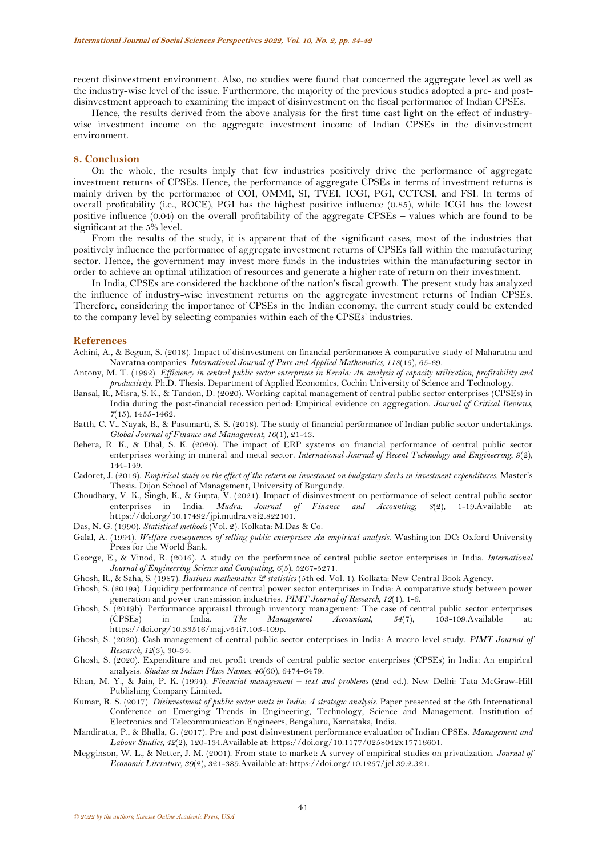recent disinvestment environment. Also, no studies were found that concerned the aggregate level as well as the industry-wise level of the issue. Furthermore, the majority of the previous studies adopted a pre- and postdisinvestment approach to examining the impact of disinvestment on the fiscal performance of Indian CPSEs.

Hence, the results derived from the above analysis for the first time cast light on the effect of industrywise investment income on the aggregate investment income of Indian CPSEs in the disinvestment environment.

#### **8. Conclusion**

On the whole, the results imply that few industries positively drive the performance of aggregate investment returns of CPSEs. Hence, the performance of aggregate CPSEs in terms of investment returns is mainly driven by the performance of COI, OMMI, SI, TVEI, ICGI, PGI, CCTCSI, and FSI. In terms of overall profitability (i.e., ROCE), PGI has the highest positive influence (0.85), while ICGI has the lowest positive influence (0.04) on the overall profitability of the aggregate CPSEs – values which are found to be significant at the 5% level.

From the results of the study, it is apparent that of the significant cases, most of the industries that positively influence the performance of aggregate investment returns of CPSEs fall within the manufacturing sector. Hence, the government may invest more funds in the industries within the manufacturing sector in order to achieve an optimal utilization of resources and generate a higher rate of return on their investment.

In India, CPSEs are considered the backbone of the nation's fiscal growth. The present study has analyzed the influence of industry-wise investment returns on the aggregate investment returns of Indian CPSEs. Therefore, considering the importance of CPSEs in the Indian economy, the current study could be extended to the company level by selecting companies within each of the CPSEs' industries.

#### **References**

- <span id="page-7-8"></span>Achini, A., & Begum, S. (2018). Impact of disinvestment on financial performance: A comparative study of Maharatna and Navratna companies. *International Journal of Pure and Applied Mathematics, 118*(15), 65-69.
- <span id="page-7-1"></span>Antony, M. T. (1992). *Efficiency in central public sector enterprises in Kerala: An analysis of capacity utilization, profitability and productivity.* Ph.D. Thesis. Department of Applied Economics, Cochin University of Science and Technology.
- <span id="page-7-13"></span>Bansal, R., Misra, S. K., & Tandon, D. (2020). Working capital management of central public sector enterprises (CPSEs) in India during the post-financial recession period: Empirical evidence on aggregation. *Journal of Critical Reviews, 7*(15), 1455-1462.
- <span id="page-7-9"></span>Batth, C. V., Nayak, B., & Pasumarti, S. S. (2018). The study of financial performance of Indian public sector undertakings. *Global Journal of Finance and Management, 10*(1), 21-43.
- <span id="page-7-15"></span>Behera, R. K., & Dhal, S. K. (2020). The impact of ERP systems on financial performance of central public sector enterprises working in mineral and metal sector. *International Journal of Recent Technology and Engineering, 9*(2), 144-149.
- <span id="page-7-4"></span>Cadoret, J. (2016). *Empirical study on the effect of the return on investment on budgetary slacks in investment expenditures.* Master's Thesis. Dijon School of Management, University of Burgundy.
- <span id="page-7-16"></span>Choudhary, V. K., Singh, K., & Gupta, V. (2021). Impact of disinvestment on performance of select central public sector enterprises in India. *Mudra: Journal of Finance and Accounting, 8*(2), 1-19.Available at: https://doi.org/10.17492/jpi.mudra.v8i2.822101.
- <span id="page-7-18"></span>Das, N. G. (1990). *Statistical methods* (Vol. 2). Kolkata: M.Das & Co.
- <span id="page-7-2"></span>Galal, A. (1994). *Welfare consequences of selling public enterprises: An empirical analysis*. Washington DC: Oxford University Press for the World Bank.
- <span id="page-7-5"></span>George, E., & Vinod, R. (2016). A study on the performance of central public sector enterprises in India. *International Journal of Engineering Science and Computing, 6*(5), 5267-5271.
- <span id="page-7-17"></span>Ghosh, R., & Saha, S. (1987). *Business mathematics & statistics* (5th ed. Vol. 1). Kolkata: New Central Book Agency.
- <span id="page-7-10"></span>Ghosh, S. (2019a). Liquidity performance of central power sector enterprises in India: A comparative study between power generation and power transmission industries. *PIMT Journal of Research, 12*(1), 1-6.
- <span id="page-7-11"></span>Ghosh, S. (2019b). Performance appraisal through inventory management: The case of central public sector enterprises (CPSEs) in India. *The Management Accountant, 54*(7), 103-109.Available at: https://doi.org/10.33516/maj.v54i7.103-109p.
- <span id="page-7-12"></span>Ghosh, S. (2020). Cash management of central public sector enterprises in India: A macro level study. *PIMT Journal of Research, 12*(3), 30-34.
- <span id="page-7-14"></span>Ghosh, S. (2020). Expenditure and net profit trends of central public sector enterprises (CPSEs) in India: An empirical analysis. *Studies in Indian Place Names, 40*(60), 6474-6479.
- <span id="page-7-0"></span>Khan, M. Y., & Jain, P. K. (1994). *Financial management – text and problems* (2nd ed.). New Delhi: Tata McGraw-Hill Publishing Company Limited.
- <span id="page-7-7"></span>Kumar, R. S. (2017). *Disinvestment of public sector units in India: A strategic analysis*. Paper presented at the 6th International Conference on Emerging Trends in Engineering, Technology, Science and Management. Institution of Electronics and Telecommunication Engineers, Bengaluru, Karnataka, India.
- <span id="page-7-6"></span>Mandiratta, P., & Bhalla, G. (2017). Pre and post disinvestment performance evaluation of Indian CPSEs. *Management and Labour Studies, 42*(2), 120-134.Available at: https://doi.org/10.1177/0258042x17716601.
- <span id="page-7-3"></span>Megginson, W. L., & Netter, J. M. (2001). From state to market: A survey of empirical studies on privatization. *Journal of Economic Literature, 39*(2), 321-389.Available at: https://doi.org/10.1257/jel.39.2.321.